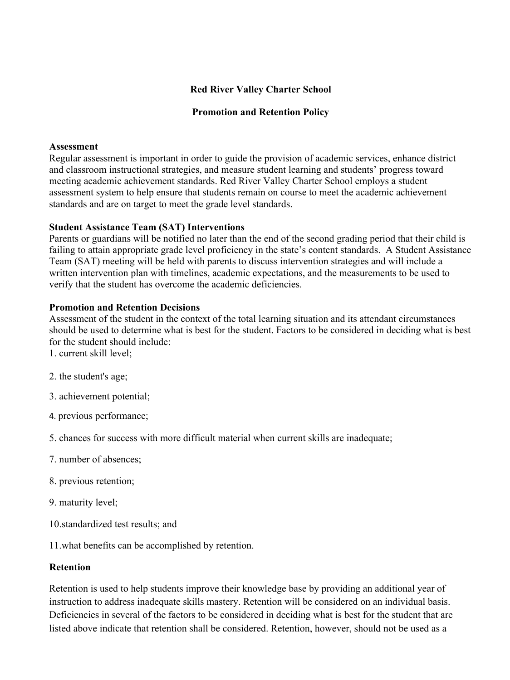## **Red River Valley Charter School**

### **Promotion and Retention Policy**

#### **Assessment**

Regular assessment is important in order to guide the provision of academic services, enhance district and classroom instructional strategies, and measure student learning and students' progress toward meeting academic achievement standards. Red River Valley Charter School employs a student assessment system to help ensure that students remain on course to meet the academic achievement standards and are on target to meet the grade level standards.

### **Student Assistance Team (SAT) Interventions**

Parents or guardians will be notified no later than the end of the second grading period that their child is failing to attain appropriate grade level proficiency in the state's content standards. A Student Assistance Team (SAT) meeting will be held with parents to discuss intervention strategies and will include a written intervention plan with timelines, academic expectations, and the measurements to be used to verify that the student has overcome the academic deficiencies.

### **Promotion and Retention Decisions**

Assessment of the student in the context of the total learning situation and its attendant circumstances should be used to determine what is best for the student. Factors to be considered in deciding what is best for the student should include:

1. current skill level;

- 2. the student's age;
- 3. achievement potential;
- 4. previous performance;

5. chances for success with more difficult material when current skills are inadequate;

- 7. number of absences;
- 8. previous retention;
- 9. maturity level;
- 10.standardized test results; and

11.what benefits can be accomplished by retention.

### **Retention**

Retention is used to help students improve their knowledge base by providing an additional year of instruction to address inadequate skills mastery. Retention will be considered on an individual basis. Deficiencies in several of the factors to be considered in deciding what is best for the student that are listed above indicate that retention shall be considered. Retention, however, should not be used as a